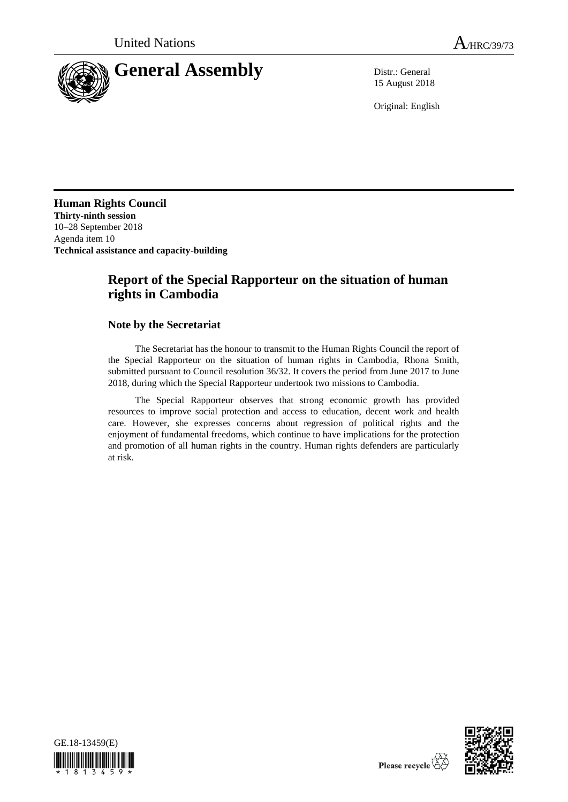

15 August 2018

Original: English

**Human Rights Council Thirty-ninth session** 10–28 September 2018 Agenda item 10 **Technical assistance and capacity-building**

# **Report of the Special Rapporteur on the situation of human rights in Cambodia**

### **Note by the Secretariat**

The Secretariat has the honour to transmit to the Human Rights Council the report of the Special Rapporteur on the situation of human rights in Cambodia, Rhona Smith, submitted pursuant to Council resolution 36/32. It covers the period from June 2017 to June 2018, during which the Special Rapporteur undertook two missions to Cambodia.

The Special Rapporteur observes that strong economic growth has provided resources to improve social protection and access to education, decent work and health care. However, she expresses concerns about regression of political rights and the enjoyment of fundamental freedoms, which continue to have implications for the protection and promotion of all human rights in the country. Human rights defenders are particularly at risk.



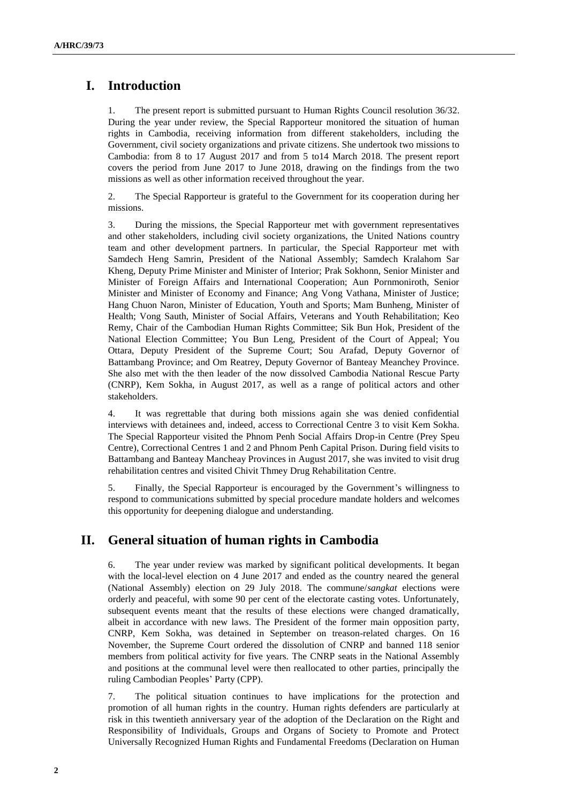# **I. Introduction**

1. The present report is submitted pursuant to Human Rights Council resolution 36/32. During the year under review, the Special Rapporteur monitored the situation of human rights in Cambodia, receiving information from different stakeholders, including the Government, civil society organizations and private citizens. She undertook two missions to Cambodia: from 8 to 17 August 2017 and from 5 to14 March 2018. The present report covers the period from June 2017 to June 2018, drawing on the findings from the two missions as well as other information received throughout the year.

2. The Special Rapporteur is grateful to the Government for its cooperation during her missions.

3. During the missions, the Special Rapporteur met with government representatives and other stakeholders, including civil society organizations, the United Nations country team and other development partners. In particular, the Special Rapporteur met with Samdech Heng Samrin, President of the National Assembly; Samdech Kralahom Sar Kheng, Deputy Prime Minister and Minister of Interior; Prak Sokhonn, Senior Minister and Minister of Foreign Affairs and International Cooperation; Aun Pornmoniroth, Senior Minister and Minister of Economy and Finance; Ang Vong Vathana, Minister of Justice; Hang Chuon Naron, Minister of Education, Youth and Sports; Mam Bunheng, Minister of Health; Vong Sauth, Minister of Social Affairs, Veterans and Youth Rehabilitation; Keo Remy, Chair of the Cambodian Human Rights Committee; Sik Bun Hok, President of the National Election Committee; You Bun Leng, President of the Court of Appeal; You Ottara, Deputy President of the Supreme Court; Sou Arafad, Deputy Governor of Battambang Province; and Om Reatrey, Deputy Governor of Banteay Meanchey Province. She also met with the then leader of the now dissolved Cambodia National Rescue Party (CNRP), Kem Sokha, in August 2017, as well as a range of political actors and other stakeholders.

4. It was regrettable that during both missions again she was denied confidential interviews with detainees and, indeed, access to Correctional Centre 3 to visit Kem Sokha. The Special Rapporteur visited the Phnom Penh Social Affairs Drop-in Centre (Prey Speu Centre), Correctional Centres 1 and 2 and Phnom Penh Capital Prison. During field visits to Battambang and Banteay Mancheay Provinces in August 2017, she was invited to visit drug rehabilitation centres and visited Chivit Thmey Drug Rehabilitation Centre.

5. Finally, the Special Rapporteur is encouraged by the Government's willingness to respond to communications submitted by special procedure mandate holders and welcomes this opportunity for deepening dialogue and understanding.

# **II. General situation of human rights in Cambodia**

6. The year under review was marked by significant political developments. It began with the local-level election on 4 June 2017 and ended as the country neared the general (National Assembly) election on 29 July 2018. The commune/*sangkat* elections were orderly and peaceful, with some 90 per cent of the electorate casting votes. Unfortunately, subsequent events meant that the results of these elections were changed dramatically, albeit in accordance with new laws. The President of the former main opposition party, CNRP, Kem Sokha, was detained in September on treason-related charges. On 16 November, the Supreme Court ordered the dissolution of CNRP and banned 118 senior members from political activity for five years. The CNRP seats in the National Assembly and positions at the communal level were then reallocated to other parties, principally the ruling Cambodian Peoples' Party (CPP).

7. The political situation continues to have implications for the protection and promotion of all human rights in the country. Human rights defenders are particularly at risk in this twentieth anniversary year of the adoption of the Declaration on the Right and Responsibility of Individuals, Groups and Organs of Society to Promote and Protect Universally Recognized Human Rights and Fundamental Freedoms (Declaration on Human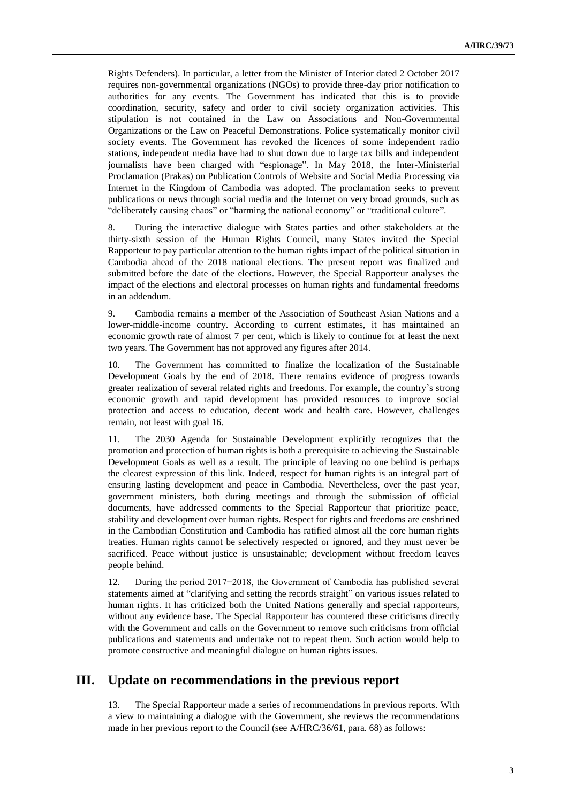Rights Defenders). In particular, a letter from the Minister of Interior dated 2 October 2017 requires non-governmental organizations (NGOs) to provide three-day prior notification to authorities for any events. The Government has indicated that this is to provide coordination, security, safety and order to civil society organization activities. This stipulation is not contained in the Law on Associations and Non-Governmental Organizations or the Law on Peaceful Demonstrations. Police systematically monitor civil society events. The Government has revoked the licences of some independent radio stations, independent media have had to shut down due to large tax bills and independent journalists have been charged with "espionage". In May 2018, the Inter-Ministerial Proclamation (Prakas) on Publication Controls of Website and Social Media Processing via Internet in the Kingdom of Cambodia was adopted. The proclamation seeks to prevent publications or news through social media and the Internet on very broad grounds, such as "deliberately causing chaos" or "harming the national economy" or "traditional culture".

8. During the interactive dialogue with States parties and other stakeholders at the thirty-sixth session of the Human Rights Council, many States invited the Special Rapporteur to pay particular attention to the human rights impact of the political situation in Cambodia ahead of the 2018 national elections. The present report was finalized and submitted before the date of the elections. However, the Special Rapporteur analyses the impact of the elections and electoral processes on human rights and fundamental freedoms in an addendum.

9. Cambodia remains a member of the Association of Southeast Asian Nations and a lower-middle-income country. According to current estimates, it has maintained an economic growth rate of almost 7 per cent, which is likely to continue for at least the next two years. The Government has not approved any figures after 2014.

10. The Government has committed to finalize the localization of the Sustainable Development Goals by the end of 2018. There remains evidence of progress towards greater realization of several related rights and freedoms. For example, the country's strong economic growth and rapid development has provided resources to improve social protection and access to education, decent work and health care. However, challenges remain, not least with goal 16.

11. The 2030 Agenda for Sustainable Development explicitly recognizes that the promotion and protection of human rights is both a prerequisite to achieving the Sustainable Development Goals as well as a result. The principle of leaving no one behind is perhaps the clearest expression of this link. Indeed, respect for human rights is an integral part of ensuring lasting development and peace in Cambodia. Nevertheless, over the past year, government ministers, both during meetings and through the submission of official documents, have addressed comments to the Special Rapporteur that prioritize peace, stability and development over human rights. Respect for rights and freedoms are enshrined in the Cambodian Constitution and Cambodia has ratified almost all the core human rights treaties. Human rights cannot be selectively respected or ignored, and they must never be sacrificed. Peace without justice is unsustainable; development without freedom leaves people behind.

12. During the period 2017−2018, the Government of Cambodia has published several statements aimed at "clarifying and setting the records straight" on various issues related to human rights. It has criticized both the United Nations generally and special rapporteurs, without any evidence base. The Special Rapporteur has countered these criticisms directly with the Government and calls on the Government to remove such criticisms from official publications and statements and undertake not to repeat them. Such action would help to promote constructive and meaningful dialogue on human rights issues.

### **III. Update on recommendations in the previous report**

13. The Special Rapporteur made a series of recommendations in previous reports. With a view to maintaining a dialogue with the Government, she reviews the recommendations made in her previous report to the Council (see A/HRC/36/61, para. 68) as follows: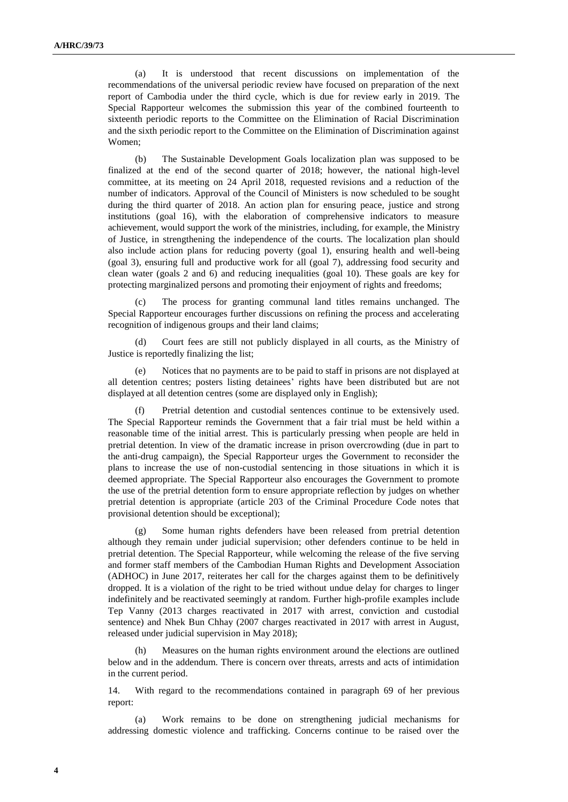(a) It is understood that recent discussions on implementation of the recommendations of the universal periodic review have focused on preparation of the next report of Cambodia under the third cycle, which is due for review early in 2019. The Special Rapporteur welcomes the submission this year of the combined fourteenth to sixteenth periodic reports to the Committee on the Elimination of Racial Discrimination and the sixth periodic report to the Committee on the Elimination of Discrimination against Women;

(b) The Sustainable Development Goals localization plan was supposed to be finalized at the end of the second quarter of 2018; however, the national high-level committee, at its meeting on 24 April 2018, requested revisions and a reduction of the number of indicators. Approval of the Council of Ministers is now scheduled to be sought during the third quarter of 2018. An action plan for ensuring peace, justice and strong institutions (goal 16), with the elaboration of comprehensive indicators to measure achievement, would support the work of the ministries, including, for example, the Ministry of Justice, in strengthening the independence of the courts. The localization plan should also include action plans for reducing poverty (goal 1), ensuring health and well-being (goal 3), ensuring full and productive work for all (goal 7), addressing food security and clean water (goals 2 and 6) and reducing inequalities (goal 10). These goals are key for protecting marginalized persons and promoting their enjoyment of rights and freedoms;

(c) The process for granting communal land titles remains unchanged. The Special Rapporteur encourages further discussions on refining the process and accelerating recognition of indigenous groups and their land claims;

(d) Court fees are still not publicly displayed in all courts, as the Ministry of Justice is reportedly finalizing the list;

(e) Notices that no payments are to be paid to staff in prisons are not displayed at all detention centres; posters listing detainees' rights have been distributed but are not displayed at all detention centres (some are displayed only in English);

(f) Pretrial detention and custodial sentences continue to be extensively used. The Special Rapporteur reminds the Government that a fair trial must be held within a reasonable time of the initial arrest. This is particularly pressing when people are held in pretrial detention. In view of the dramatic increase in prison overcrowding (due in part to the anti-drug campaign), the Special Rapporteur urges the Government to reconsider the plans to increase the use of non-custodial sentencing in those situations in which it is deemed appropriate. The Special Rapporteur also encourages the Government to promote the use of the pretrial detention form to ensure appropriate reflection by judges on whether pretrial detention is appropriate (article 203 of the Criminal Procedure Code notes that provisional detention should be exceptional);

Some human rights defenders have been released from pretrial detention although they remain under judicial supervision; other defenders continue to be held in pretrial detention. The Special Rapporteur, while welcoming the release of the five serving and former staff members of the Cambodian Human Rights and Development Association (ADHOC) in June 2017, reiterates her call for the charges against them to be definitively dropped. It is a violation of the right to be tried without undue delay for charges to linger indefinitely and be reactivated seemingly at random. Further high-profile examples include Tep Vanny (2013 charges reactivated in 2017 with arrest, conviction and custodial sentence) and Nhek Bun Chhay (2007 charges reactivated in 2017 with arrest in August, released under judicial supervision in May 2018);

(h) Measures on the human rights environment around the elections are outlined below and in the addendum. There is concern over threats, arrests and acts of intimidation in the current period.

14. With regard to the recommendations contained in paragraph 69 of her previous report:

(a) Work remains to be done on strengthening judicial mechanisms for addressing domestic violence and trafficking. Concerns continue to be raised over the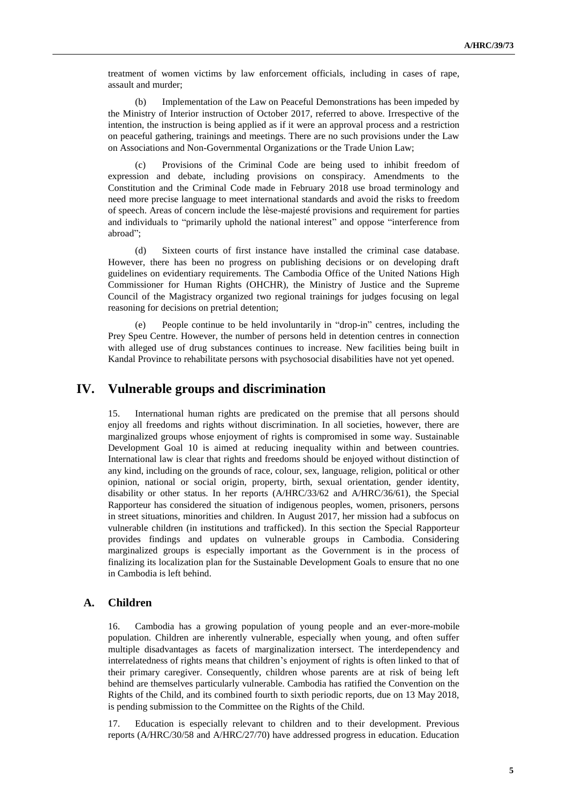treatment of women victims by law enforcement officials, including in cases of rape, assault and murder;

(b) Implementation of the Law on Peaceful Demonstrations has been impeded by the Ministry of Interior instruction of October 2017, referred to above. Irrespective of the intention, the instruction is being applied as if it were an approval process and a restriction on peaceful gathering, trainings and meetings. There are no such provisions under the Law on Associations and Non-Governmental Organizations or the Trade Union Law;

(c) Provisions of the Criminal Code are being used to inhibit freedom of expression and debate, including provisions on conspiracy. Amendments to the Constitution and the Criminal Code made in February 2018 use broad terminology and need more precise language to meet international standards and avoid the risks to freedom of speech. Areas of concern include the lèse-majesté provisions and requirement for parties and individuals to "primarily uphold the national interest" and oppose "interference from abroad";

(d) Sixteen courts of first instance have installed the criminal case database. However, there has been no progress on publishing decisions or on developing draft guidelines on evidentiary requirements. The Cambodia Office of the United Nations High Commissioner for Human Rights (OHCHR), the Ministry of Justice and the Supreme Council of the Magistracy organized two regional trainings for judges focusing on legal reasoning for decisions on pretrial detention;

(e) People continue to be held involuntarily in "drop-in" centres, including the Prey Speu Centre. However, the number of persons held in detention centres in connection with alleged use of drug substances continues to increase. New facilities being built in Kandal Province to rehabilitate persons with psychosocial disabilities have not yet opened.

### **IV. Vulnerable groups and discrimination**

15. International human rights are predicated on the premise that all persons should enjoy all freedoms and rights without discrimination. In all societies, however, there are marginalized groups whose enjoyment of rights is compromised in some way. Sustainable Development Goal 10 is aimed at reducing inequality within and between countries. International law is clear that rights and freedoms should be enjoyed without distinction of any kind, including on the grounds of race, colour, sex, language, religion, political or other opinion, national or social origin, property, birth, sexual orientation, gender identity, disability or other status. In her reports (A/HRC/33/62 and A/HRC/36/61), the Special Rapporteur has considered the situation of indigenous peoples, women, prisoners, persons in street situations, minorities and children. In August 2017, her mission had a subfocus on vulnerable children (in institutions and trafficked). In this section the Special Rapporteur provides findings and updates on vulnerable groups in Cambodia. Considering marginalized groups is especially important as the Government is in the process of finalizing its localization plan for the Sustainable Development Goals to ensure that no one in Cambodia is left behind.

#### **A. Children**

16. Cambodia has a growing population of young people and an ever-more-mobile population. Children are inherently vulnerable, especially when young, and often suffer multiple disadvantages as facets of marginalization intersect. The interdependency and interrelatedness of rights means that children's enjoyment of rights is often linked to that of their primary caregiver. Consequently, children whose parents are at risk of being left behind are themselves particularly vulnerable. Cambodia has ratified the Convention on the Rights of the Child, and its combined fourth to sixth periodic reports, due on 13 May 2018, is pending submission to the Committee on the Rights of the Child.

17. Education is especially relevant to children and to their development. Previous reports (A/HRC/30/58 and A/HRC/27/70) have addressed progress in education. Education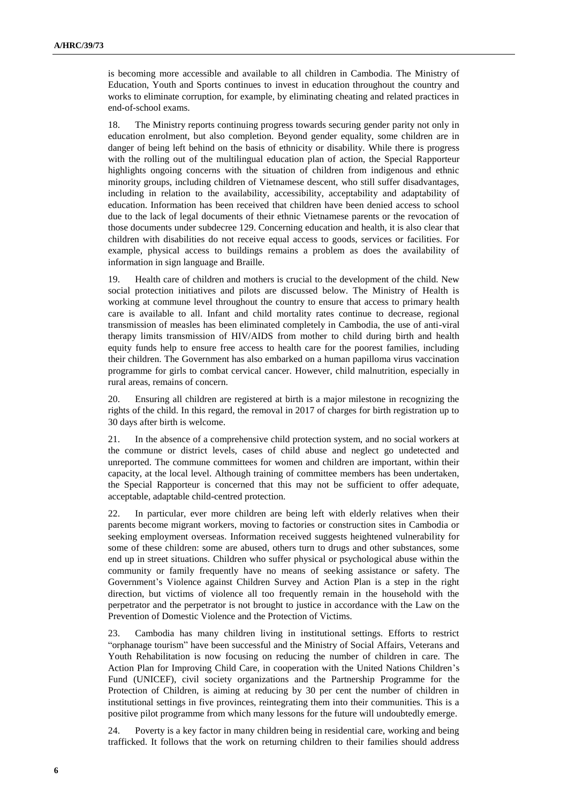is becoming more accessible and available to all children in Cambodia. The Ministry of Education, Youth and Sports continues to invest in education throughout the country and works to eliminate corruption, for example, by eliminating cheating and related practices in end-of-school exams.

18. The Ministry reports continuing progress towards securing gender parity not only in education enrolment, but also completion. Beyond gender equality, some children are in danger of being left behind on the basis of ethnicity or disability. While there is progress with the rolling out of the multilingual education plan of action, the Special Rapporteur highlights ongoing concerns with the situation of children from indigenous and ethnic minority groups, including children of Vietnamese descent, who still suffer disadvantages, including in relation to the availability, accessibility, acceptability and adaptability of education. Information has been received that children have been denied access to school due to the lack of legal documents of their ethnic Vietnamese parents or the revocation of those documents under subdecree 129. Concerning education and health, it is also clear that children with disabilities do not receive equal access to goods, services or facilities. For example, physical access to buildings remains a problem as does the availability of information in sign language and Braille.

19. Health care of children and mothers is crucial to the development of the child. New social protection initiatives and pilots are discussed below. The Ministry of Health is working at commune level throughout the country to ensure that access to primary health care is available to all. Infant and child mortality rates continue to decrease, regional transmission of measles has been eliminated completely in Cambodia, the use of anti-viral therapy limits transmission of HIV/AIDS from mother to child during birth and health equity funds help to ensure free access to health care for the poorest families, including their children. The Government has also embarked on a human papilloma virus vaccination programme for girls to combat cervical cancer. However, child malnutrition, especially in rural areas, remains of concern.

20. Ensuring all children are registered at birth is a major milestone in recognizing the rights of the child. In this regard, the removal in 2017 of charges for birth registration up to 30 days after birth is welcome.

21. In the absence of a comprehensive child protection system, and no social workers at the commune or district levels, cases of child abuse and neglect go undetected and unreported. The commune committees for women and children are important, within their capacity, at the local level. Although training of committee members has been undertaken, the Special Rapporteur is concerned that this may not be sufficient to offer adequate, acceptable, adaptable child-centred protection.

22. In particular, ever more children are being left with elderly relatives when their parents become migrant workers, moving to factories or construction sites in Cambodia or seeking employment overseas. Information received suggests heightened vulnerability for some of these children: some are abused, others turn to drugs and other substances, some end up in street situations. Children who suffer physical or psychological abuse within the community or family frequently have no means of seeking assistance or safety. The Government's Violence against Children Survey and Action Plan is a step in the right direction, but victims of violence all too frequently remain in the household with the perpetrator and the perpetrator is not brought to justice in accordance with the Law on the Prevention of Domestic Violence and the Protection of Victims.

23. Cambodia has many children living in institutional settings. Efforts to restrict "orphanage tourism" have been successful and the Ministry of Social Affairs, Veterans and Youth Rehabilitation is now focusing on reducing the number of children in care. The Action Plan for Improving Child Care, in cooperation with the United Nations Children's Fund (UNICEF), civil society organizations and the Partnership Programme for the Protection of Children, is aiming at reducing by 30 per cent the number of children in institutional settings in five provinces, reintegrating them into their communities. This is a positive pilot programme from which many lessons for the future will undoubtedly emerge.

24. Poverty is a key factor in many children being in residential care, working and being trafficked. It follows that the work on returning children to their families should address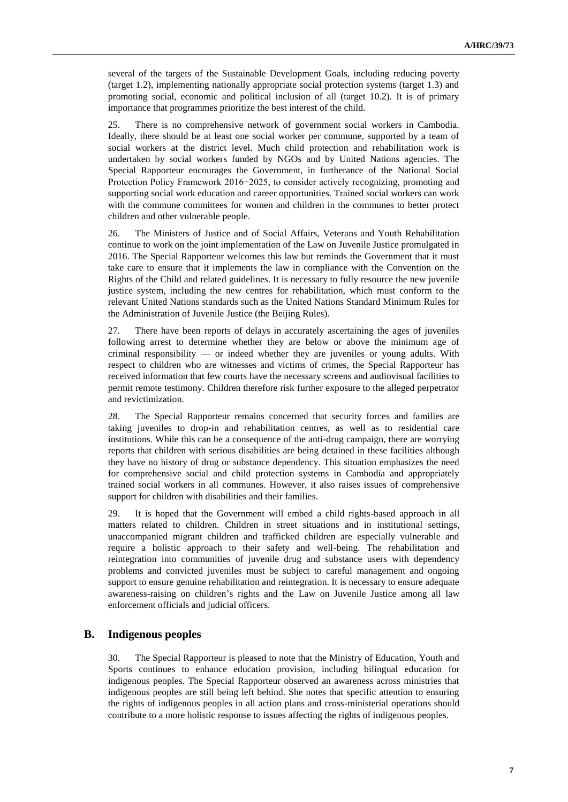several of the targets of the Sustainable Development Goals, including reducing poverty (target 1.2), implementing nationally appropriate social protection systems (target 1.3) and promoting social, economic and political inclusion of all (target 10.2). It is of primary importance that programmes prioritize the best interest of the child.

25. There is no comprehensive network of government social workers in Cambodia. Ideally, there should be at least one social worker per commune, supported by a team of social workers at the district level. Much child protection and rehabilitation work is undertaken by social workers funded by NGOs and by United Nations agencies. The Special Rapporteur encourages the Government, in furtherance of the National Social Protection Policy Framework 2016−2025, to consider actively recognizing, promoting and supporting social work education and career opportunities. Trained social workers can work with the commune committees for women and children in the communes to better protect children and other vulnerable people.

26. The Ministers of Justice and of Social Affairs, Veterans and Youth Rehabilitation continue to work on the joint implementation of the Law on Juvenile Justice promulgated in 2016. The Special Rapporteur welcomes this law but reminds the Government that it must take care to ensure that it implements the law in compliance with the Convention on the Rights of the Child and related guidelines. It is necessary to fully resource the new juvenile justice system, including the new centres for rehabilitation, which must conform to the relevant United Nations standards such as the United Nations Standard Minimum Rules for the Administration of Juvenile Justice (the Beijing Rules).

27. There have been reports of delays in accurately ascertaining the ages of juveniles following arrest to determine whether they are below or above the minimum age of criminal responsibility ⸻ or indeed whether they are juveniles or young adults. With respect to children who are witnesses and victims of crimes, the Special Rapporteur has received information that few courts have the necessary screens and audiovisual facilities to permit remote testimony. Children therefore risk further exposure to the alleged perpetrator and revictimization.

28. The Special Rapporteur remains concerned that security forces and families are taking juveniles to drop-in and rehabilitation centres, as well as to residential care institutions. While this can be a consequence of the anti-drug campaign, there are worrying reports that children with serious disabilities are being detained in these facilities although they have no history of drug or substance dependency. This situation emphasizes the need for comprehensive social and child protection systems in Cambodia and appropriately trained social workers in all communes. However, it also raises issues of comprehensive support for children with disabilities and their families.

29. It is hoped that the Government will embed a child rights-based approach in all matters related to children. Children in street situations and in institutional settings, unaccompanied migrant children and trafficked children are especially vulnerable and require a holistic approach to their safety and well-being. The rehabilitation and reintegration into communities of juvenile drug and substance users with dependency problems and convicted juveniles must be subject to careful management and ongoing support to ensure genuine rehabilitation and reintegration. It is necessary to ensure adequate awareness-raising on children's rights and the Law on Juvenile Justice among all law enforcement officials and judicial officers.

### **B. Indigenous peoples**

30. The Special Rapporteur is pleased to note that the Ministry of Education, Youth and Sports continues to enhance education provision, including bilingual education for indigenous peoples. The Special Rapporteur observed an awareness across ministries that indigenous peoples are still being left behind. She notes that specific attention to ensuring the rights of indigenous peoples in all action plans and cross-ministerial operations should contribute to a more holistic response to issues affecting the rights of indigenous peoples.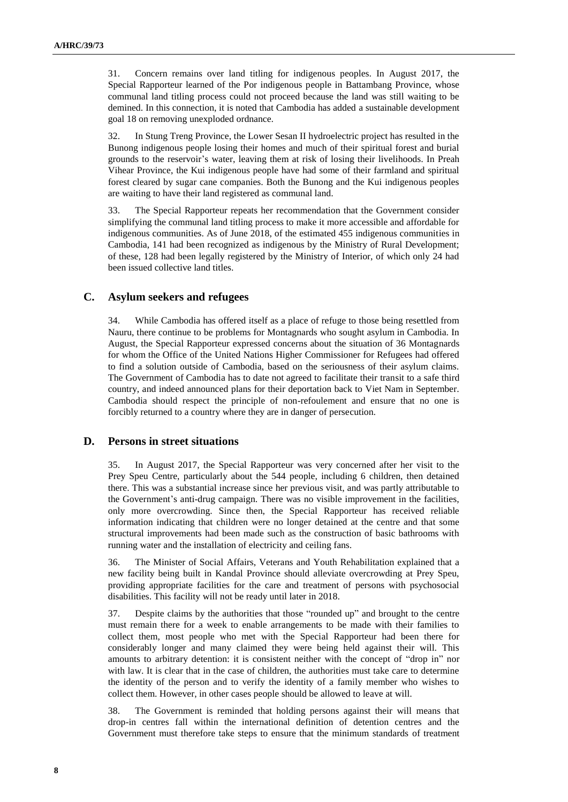31. Concern remains over land titling for indigenous peoples. In August 2017, the Special Rapporteur learned of the Por indigenous people in Battambang Province, whose communal land titling process could not proceed because the land was still waiting to be demined. In this connection, it is noted that Cambodia has added a sustainable development goal 18 on removing unexploded ordnance.

32. In Stung Treng Province, the Lower Sesan II hydroelectric project has resulted in the Bunong indigenous people losing their homes and much of their spiritual forest and burial grounds to the reservoir's water, leaving them at risk of losing their livelihoods. In Preah Vihear Province, the Kui indigenous people have had some of their farmland and spiritual forest cleared by sugar cane companies. Both the Bunong and the Kui indigenous peoples are waiting to have their land registered as communal land.

33. The Special Rapporteur repeats her recommendation that the Government consider simplifying the communal land titling process to make it more accessible and affordable for indigenous communities. As of June 2018, of the estimated 455 indigenous communities in Cambodia, 141 had been recognized as indigenous by the Ministry of Rural Development; of these, 128 had been legally registered by the Ministry of Interior, of which only 24 had been issued collective land titles.

#### **C. Asylum seekers and refugees**

34. While Cambodia has offered itself as a place of refuge to those being resettled from Nauru, there continue to be problems for Montagnards who sought asylum in Cambodia. In August, the Special Rapporteur expressed concerns about the situation of 36 Montagnards for whom the Office of the United Nations Higher Commissioner for Refugees had offered to find a solution outside of Cambodia, based on the seriousness of their asylum claims. The Government of Cambodia has to date not agreed to facilitate their transit to a safe third country, and indeed announced plans for their deportation back to Viet Nam in September. Cambodia should respect the principle of non-refoulement and ensure that no one is forcibly returned to a country where they are in danger of persecution.

#### **D. Persons in street situations**

35. In August 2017, the Special Rapporteur was very concerned after her visit to the Prey Speu Centre, particularly about the 544 people, including 6 children, then detained there. This was a substantial increase since her previous visit, and was partly attributable to the Government's anti-drug campaign. There was no visible improvement in the facilities, only more overcrowding. Since then, the Special Rapporteur has received reliable information indicating that children were no longer detained at the centre and that some structural improvements had been made such as the construction of basic bathrooms with running water and the installation of electricity and ceiling fans.

36. The Minister of Social Affairs, Veterans and Youth Rehabilitation explained that a new facility being built in Kandal Province should alleviate overcrowding at Prey Speu, providing appropriate facilities for the care and treatment of persons with psychosocial disabilities. This facility will not be ready until later in 2018.

37. Despite claims by the authorities that those "rounded up" and brought to the centre must remain there for a week to enable arrangements to be made with their families to collect them, most people who met with the Special Rapporteur had been there for considerably longer and many claimed they were being held against their will. This amounts to arbitrary detention: it is consistent neither with the concept of "drop in" nor with law. It is clear that in the case of children, the authorities must take care to determine the identity of the person and to verify the identity of a family member who wishes to collect them. However, in other cases people should be allowed to leave at will.

38. The Government is reminded that holding persons against their will means that drop-in centres fall within the international definition of detention centres and the Government must therefore take steps to ensure that the minimum standards of treatment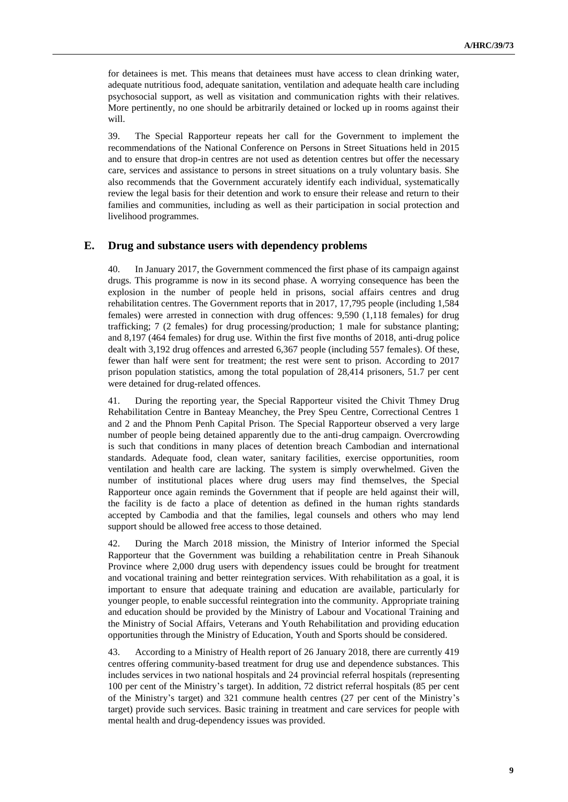for detainees is met. This means that detainees must have access to clean drinking water, adequate nutritious food, adequate sanitation, ventilation and adequate health care including psychosocial support, as well as visitation and communication rights with their relatives. More pertinently, no one should be arbitrarily detained or locked up in rooms against their will.

39. The Special Rapporteur repeats her call for the Government to implement the recommendations of the National Conference on Persons in Street Situations held in 2015 and to ensure that drop-in centres are not used as detention centres but offer the necessary care, services and assistance to persons in street situations on a truly voluntary basis. She also recommends that the Government accurately identify each individual, systematically review the legal basis for their detention and work to ensure their release and return to their families and communities, including as well as their participation in social protection and livelihood programmes.

#### **E. Drug and substance users with dependency problems**

40. In January 2017, the Government commenced the first phase of its campaign against drugs. This programme is now in its second phase. A worrying consequence has been the explosion in the number of people held in prisons, social affairs centres and drug rehabilitation centres. The Government reports that in 2017, 17,795 people (including 1,584 females) were arrested in connection with drug offences: 9,590 (1,118 females) for drug trafficking; 7 (2 females) for drug processing/production; 1 male for substance planting; and 8,197 (464 females) for drug use. Within the first five months of 2018, anti-drug police dealt with 3,192 drug offences and arrested 6,367 people (including 557 females). Of these, fewer than half were sent for treatment; the rest were sent to prison. According to 2017 prison population statistics, among the total population of 28,414 prisoners, 51.7 per cent were detained for drug-related offences.

41. During the reporting year, the Special Rapporteur visited the Chivit Thmey Drug Rehabilitation Centre in Banteay Meanchey, the Prey Speu Centre, Correctional Centres 1 and 2 and the Phnom Penh Capital Prison. The Special Rapporteur observed a very large number of people being detained apparently due to the anti-drug campaign. Overcrowding is such that conditions in many places of detention breach Cambodian and international standards. Adequate food, clean water, sanitary facilities, exercise opportunities, room ventilation and health care are lacking. The system is simply overwhelmed. Given the number of institutional places where drug users may find themselves, the Special Rapporteur once again reminds the Government that if people are held against their will, the facility is de facto a place of detention as defined in the human rights standards accepted by Cambodia and that the families, legal counsels and others who may lend support should be allowed free access to those detained.

42. During the March 2018 mission, the Ministry of Interior informed the Special Rapporteur that the Government was building a rehabilitation centre in Preah Sihanouk Province where 2,000 drug users with dependency issues could be brought for treatment and vocational training and better reintegration services. With rehabilitation as a goal, it is important to ensure that adequate training and education are available, particularly for younger people, to enable successful reintegration into the community. Appropriate training and education should be provided by the Ministry of Labour and Vocational Training and the Ministry of Social Affairs, Veterans and Youth Rehabilitation and providing education opportunities through the Ministry of Education, Youth and Sports should be considered.

43. According to a Ministry of Health report of 26 January 2018, there are currently 419 centres offering community-based treatment for drug use and dependence substances. This includes services in two national hospitals and 24 provincial referral hospitals (representing 100 per cent of the Ministry's target). In addition, 72 district referral hospitals (85 per cent of the Ministry's target) and 321 commune health centres (27 per cent of the Ministry's target) provide such services. Basic training in treatment and care services for people with mental health and drug-dependency issues was provided.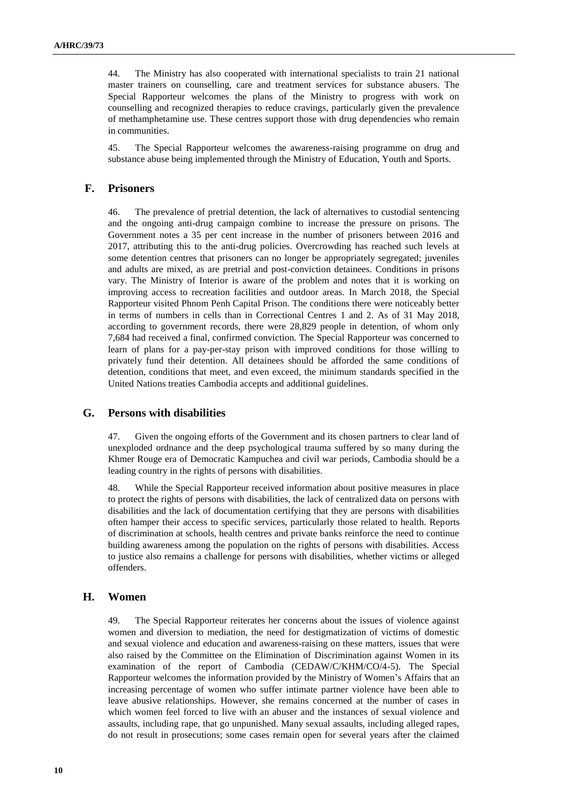44. The Ministry has also cooperated with international specialists to train 21 national master trainers on counselling, care and treatment services for substance abusers. The Special Rapporteur welcomes the plans of the Ministry to progress with work on counselling and recognized therapies to reduce cravings, particularly given the prevalence of methamphetamine use. These centres support those with drug dependencies who remain in communities.

45. The Special Rapporteur welcomes the awareness-raising programme on drug and substance abuse being implemented through the Ministry of Education, Youth and Sports.

#### **F. Prisoners**

46. The prevalence of pretrial detention, the lack of alternatives to custodial sentencing and the ongoing anti-drug campaign combine to increase the pressure on prisons. The Government notes a 35 per cent increase in the number of prisoners between 2016 and 2017, attributing this to the anti-drug policies. Overcrowding has reached such levels at some detention centres that prisoners can no longer be appropriately segregated; juveniles and adults are mixed, as are pretrial and post-conviction detainees. Conditions in prisons vary. The Ministry of Interior is aware of the problem and notes that it is working on improving access to recreation facilities and outdoor areas. In March 2018, the Special Rapporteur visited Phnom Penh Capital Prison. The conditions there were noticeably better in terms of numbers in cells than in Correctional Centres 1 and 2. As of 31 May 2018, according to government records, there were 28,829 people in detention, of whom only 7,684 had received a final, confirmed conviction. The Special Rapporteur was concerned to learn of plans for a pay-per-stay prison with improved conditions for those willing to privately fund their detention. All detainees should be afforded the same conditions of detention, conditions that meet, and even exceed, the minimum standards specified in the United Nations treaties Cambodia accepts and additional guidelines.

#### **G. Persons with disabilities**

47. Given the ongoing efforts of the Government and its chosen partners to clear land of unexploded ordnance and the deep psychological trauma suffered by so many during the Khmer Rouge era of Democratic Kampuchea and civil war periods, Cambodia should be a leading country in the rights of persons with disabilities.

48. While the Special Rapporteur received information about positive measures in place to protect the rights of persons with disabilities, the lack of centralized data on persons with disabilities and the lack of documentation certifying that they are persons with disabilities often hamper their access to specific services, particularly those related to health. Reports of discrimination at schools, health centres and private banks reinforce the need to continue building awareness among the population on the rights of persons with disabilities. Access to justice also remains a challenge for persons with disabilities, whether victims or alleged offenders.

#### **H. Women**

49. The Special Rapporteur reiterates her concerns about the issues of violence against women and diversion to mediation, the need for destigmatization of victims of domestic and sexual violence and education and awareness-raising on these matters, issues that were also raised by the Committee on the Elimination of Discrimination against Women in its examination of the report of Cambodia (CEDAW/C/KHM/CO/4-5). The Special Rapporteur welcomes the information provided by the Ministry of Women's Affairs that an increasing percentage of women who suffer intimate partner violence have been able to leave abusive relationships. However, she remains concerned at the number of cases in which women feel forced to live with an abuser and the instances of sexual violence and assaults, including rape, that go unpunished. Many sexual assaults, including alleged rapes, do not result in prosecutions; some cases remain open for several years after the claimed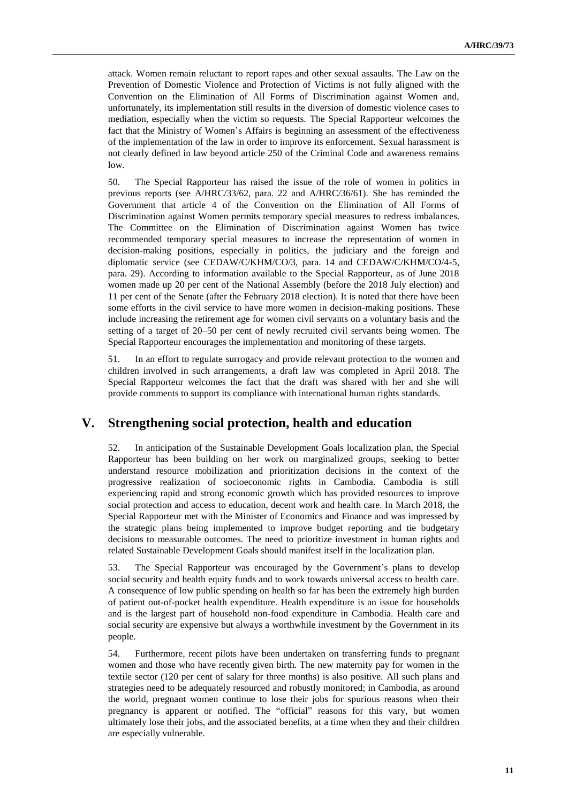attack. Women remain reluctant to report rapes and other sexual assaults. The Law on the Prevention of Domestic Violence and Protection of Victims is not fully aligned with the Convention on the Elimination of All Forms of Discrimination against Women and, unfortunately, its implementation still results in the diversion of domestic violence cases to mediation, especially when the victim so requests. The Special Rapporteur welcomes the fact that the Ministry of Women's Affairs is beginning an assessment of the effectiveness of the implementation of the law in order to improve its enforcement. Sexual harassment is not clearly defined in law beyond article 250 of the Criminal Code and awareness remains low.

50. The Special Rapporteur has raised the issue of the role of women in politics in previous reports (see A/HRC/33/62, para. 22 and A/HRC/36/61). She has reminded the Government that article 4 of the Convention on the Elimination of All Forms of Discrimination against Women permits temporary special measures to redress imbalances. The Committee on the Elimination of Discrimination against Women has twice recommended temporary special measures to increase the representation of women in decision-making positions, especially in politics, the judiciary and the foreign and diplomatic service (see CEDAW/C/KHM/CO/3, para. 14 and CEDAW/C/KHM/CO/4-5, para. 29). According to information available to the Special Rapporteur, as of June 2018 women made up 20 per cent of the National Assembly (before the 2018 July election) and 11 per cent of the Senate (after the February 2018 election). It is noted that there have been some efforts in the civil service to have more women in decision-making positions. These include increasing the retirement age for women civil servants on a voluntary basis and the setting of a target of 20–50 per cent of newly recruited civil servants being women. The Special Rapporteur encourages the implementation and monitoring of these targets.

51. In an effort to regulate surrogacy and provide relevant protection to the women and children involved in such arrangements, a draft law was completed in April 2018. The Special Rapporteur welcomes the fact that the draft was shared with her and she will provide comments to support its compliance with international human rights standards.

# **V. Strengthening social protection, health and education**

52. In anticipation of the Sustainable Development Goals localization plan, the Special Rapporteur has been building on her work on marginalized groups, seeking to better understand resource mobilization and prioritization decisions in the context of the progressive realization of socioeconomic rights in Cambodia. Cambodia is still experiencing rapid and strong economic growth which has provided resources to improve social protection and access to education, decent work and health care. In March 2018, the Special Rapporteur met with the Minister of Economics and Finance and was impressed by the strategic plans being implemented to improve budget reporting and tie budgetary decisions to measurable outcomes. The need to prioritize investment in human rights and related Sustainable Development Goals should manifest itself in the localization plan.

53. The Special Rapporteur was encouraged by the Government's plans to develop social security and health equity funds and to work towards universal access to health care. A consequence of low public spending on health so far has been the extremely high burden of patient out-of-pocket health expenditure. Health expenditure is an issue for households and is the largest part of household non-food expenditure in Cambodia. Health care and social security are expensive but always a worthwhile investment by the Government in its people.

54. Furthermore, recent pilots have been undertaken on transferring funds to pregnant women and those who have recently given birth. The new maternity pay for women in the textile sector (120 per cent of salary for three months) is also positive. All such plans and strategies need to be adequately resourced and robustly monitored; in Cambodia, as around the world, pregnant women continue to lose their jobs for spurious reasons when their pregnancy is apparent or notified. The "official" reasons for this vary, but women ultimately lose their jobs, and the associated benefits, at a time when they and their children are especially vulnerable.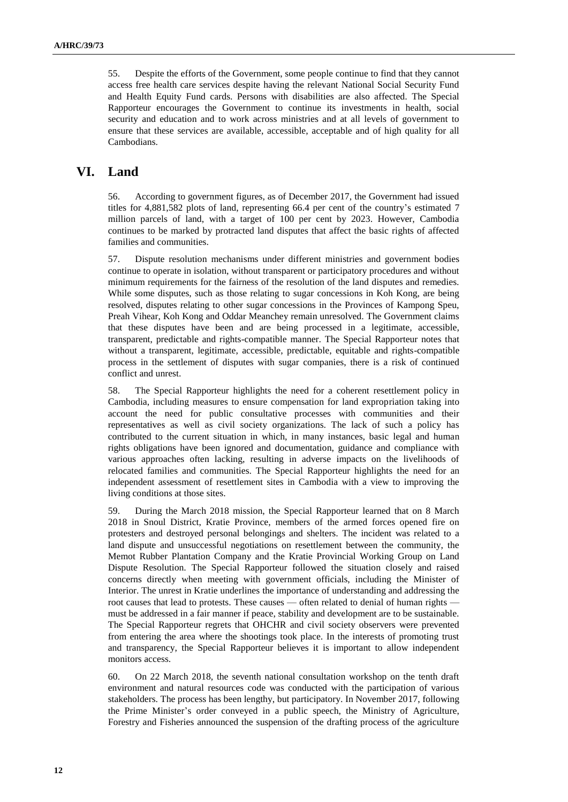55. Despite the efforts of the Government, some people continue to find that they cannot access free health care services despite having the relevant National Social Security Fund and Health Equity Fund cards. Persons with disabilities are also affected. The Special Rapporteur encourages the Government to continue its investments in health, social security and education and to work across ministries and at all levels of government to ensure that these services are available, accessible, acceptable and of high quality for all Cambodians.

# **VI. Land**

56. According to government figures, as of December 2017, the Government had issued titles for 4,881,582 plots of land, representing 66.4 per cent of the country's estimated 7 million parcels of land, with a target of 100 per cent by 2023. However, Cambodia continues to be marked by protracted land disputes that affect the basic rights of affected families and communities.

57. Dispute resolution mechanisms under different ministries and government bodies continue to operate in isolation, without transparent or participatory procedures and without minimum requirements for the fairness of the resolution of the land disputes and remedies. While some disputes, such as those relating to sugar concessions in Koh Kong, are being resolved, disputes relating to other sugar concessions in the Provinces of Kampong Speu, Preah Vihear, Koh Kong and Oddar Meanchey remain unresolved. The Government claims that these disputes have been and are being processed in a legitimate, accessible, transparent, predictable and rights-compatible manner. The Special Rapporteur notes that without a transparent, legitimate, accessible, predictable, equitable and rights-compatible process in the settlement of disputes with sugar companies, there is a risk of continued conflict and unrest.

58. The Special Rapporteur highlights the need for a coherent resettlement policy in Cambodia, including measures to ensure compensation for land expropriation taking into account the need for public consultative processes with communities and their representatives as well as civil society organizations. The lack of such a policy has contributed to the current situation in which, in many instances, basic legal and human rights obligations have been ignored and documentation, guidance and compliance with various approaches often lacking, resulting in adverse impacts on the livelihoods of relocated families and communities. The Special Rapporteur highlights the need for an independent assessment of resettlement sites in Cambodia with a view to improving the living conditions at those sites.

59. During the March 2018 mission, the Special Rapporteur learned that on 8 March 2018 in Snoul District, Kratie Province, members of the armed forces opened fire on protesters and destroyed personal belongings and shelters. The incident was related to a land dispute and unsuccessful negotiations on resettlement between the community, the Memot Rubber Plantation Company and the Kratie Provincial Working Group on Land Dispute Resolution. The Special Rapporteur followed the situation closely and raised concerns directly when meeting with government officials, including the Minister of Interior. The unrest in Kratie underlines the importance of understanding and addressing the root causes that lead to protests. These causes — often related to denial of human rights must be addressed in a fair manner if peace, stability and development are to be sustainable. The Special Rapporteur regrets that OHCHR and civil society observers were prevented from entering the area where the shootings took place. In the interests of promoting trust and transparency, the Special Rapporteur believes it is important to allow independent monitors access.

60. On 22 March 2018, the seventh national consultation workshop on the tenth draft environment and natural resources code was conducted with the participation of various stakeholders. The process has been lengthy, but participatory. In November 2017, following the Prime Minister's order conveyed in a public speech, the Ministry of Agriculture, Forestry and Fisheries announced the suspension of the drafting process of the agriculture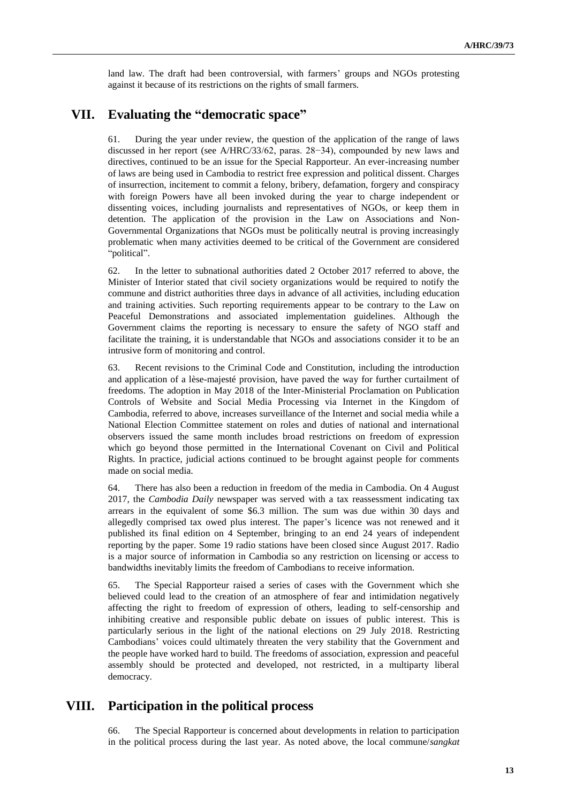land law. The draft had been controversial, with farmers' groups and NGOs protesting against it because of its restrictions on the rights of small farmers.

# **VII. Evaluating the "democratic space"**

61. During the year under review, the question of the application of the range of laws discussed in her report (see A/HRC/33/62, paras. 28−34), compounded by new laws and directives, continued to be an issue for the Special Rapporteur. An ever-increasing number of laws are being used in Cambodia to restrict free expression and political dissent. Charges of insurrection, incitement to commit a felony, bribery, defamation, forgery and conspiracy with foreign Powers have all been invoked during the year to charge independent or dissenting voices, including journalists and representatives of NGOs, or keep them in detention. The application of the provision in the Law on Associations and Non-Governmental Organizations that NGOs must be politically neutral is proving increasingly problematic when many activities deemed to be critical of the Government are considered "political".

62. In the letter to subnational authorities dated 2 October 2017 referred to above, the Minister of Interior stated that civil society organizations would be required to notify the commune and district authorities three days in advance of all activities, including education and training activities. Such reporting requirements appear to be contrary to the Law on Peaceful Demonstrations and associated implementation guidelines. Although the Government claims the reporting is necessary to ensure the safety of NGO staff and facilitate the training, it is understandable that NGOs and associations consider it to be an intrusive form of monitoring and control.

63. Recent revisions to the Criminal Code and Constitution, including the introduction and application of a lèse-majesté provision, have paved the way for further curtailment of freedoms. The adoption in May 2018 of the Inter-Ministerial Proclamation on Publication Controls of Website and Social Media Processing via Internet in the Kingdom of Cambodia, referred to above, increases surveillance of the Internet and social media while a National Election Committee statement on roles and duties of national and international observers issued the same month includes broad restrictions on freedom of expression which go beyond those permitted in the International Covenant on Civil and Political Rights. In practice, judicial actions continued to be brought against people for comments made on social media.

64. There has also been a reduction in freedom of the media in Cambodia. On 4 August 2017, the *Cambodia Daily* newspaper was served with a tax reassessment indicating tax arrears in the equivalent of some \$6.3 million. The sum was due within 30 days and allegedly comprised tax owed plus interest. The paper's licence was not renewed and it published its final edition on 4 September, bringing to an end 24 years of independent reporting by the paper. Some 19 radio stations have been closed since August 2017. Radio is a major source of information in Cambodia so any restriction on licensing or access to bandwidths inevitably limits the freedom of Cambodians to receive information.

65. The Special Rapporteur raised a series of cases with the Government which she believed could lead to the creation of an atmosphere of fear and intimidation negatively affecting the right to freedom of expression of others, leading to self-censorship and inhibiting creative and responsible public debate on issues of public interest. This is particularly serious in the light of the national elections on 29 July 2018. Restricting Cambodians' voices could ultimately threaten the very stability that the Government and the people have worked hard to build. The freedoms of association, expression and peaceful assembly should be protected and developed, not restricted, in a multiparty liberal democracy.

## **VIII. Participation in the political process**

66. The Special Rapporteur is concerned about developments in relation to participation in the political process during the last year. As noted above, the local commune/*sangkat*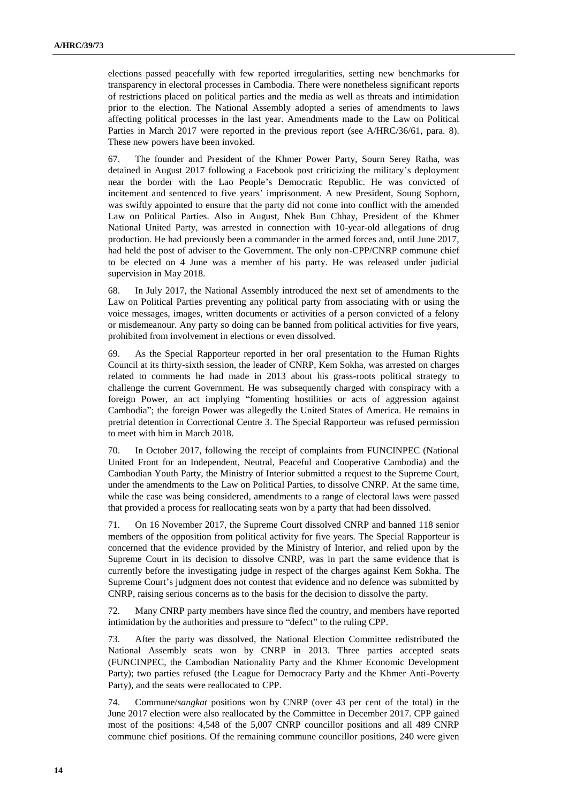elections passed peacefully with few reported irregularities, setting new benchmarks for transparency in electoral processes in Cambodia. There were nonetheless significant reports of restrictions placed on political parties and the media as well as threats and intimidation prior to the election. The National Assembly adopted a series of amendments to laws affecting political processes in the last year. Amendments made to the Law on Political Parties in March 2017 were reported in the previous report (see A/HRC/36/61, para. 8). These new powers have been invoked.

67. The founder and President of the Khmer Power Party, Sourn Serey Ratha, was detained in August 2017 following a Facebook post criticizing the military's deployment near the border with the Lao People's Democratic Republic. He was convicted of incitement and sentenced to five years' imprisonment. A new President, Soung Sophorn, was swiftly appointed to ensure that the party did not come into conflict with the amended Law on Political Parties. Also in August, Nhek Bun Chhay, President of the Khmer National United Party, was arrested in connection with 10-year-old allegations of drug production. He had previously been a commander in the armed forces and, until June 2017, had held the post of adviser to the Government. The only non-CPP/CNRP commune chief to be elected on 4 June was a member of his party. He was released under judicial supervision in May 2018.

68. In July 2017, the National Assembly introduced the next set of amendments to the Law on Political Parties preventing any political party from associating with or using the voice messages, images, written documents or activities of a person convicted of a felony or misdemeanour. Any party so doing can be banned from political activities for five years, prohibited from involvement in elections or even dissolved.

69. As the Special Rapporteur reported in her oral presentation to the Human Rights Council at its thirty-sixth session, the leader of CNRP, Kem Sokha, was arrested on charges related to comments he had made in 2013 about his grass-roots political strategy to challenge the current Government. He was subsequently charged with conspiracy with a foreign Power, an act implying "fomenting hostilities or acts of aggression against Cambodia"; the foreign Power was allegedly the United States of America. He remains in pretrial detention in Correctional Centre 3. The Special Rapporteur was refused permission to meet with him in March 2018.

70. In October 2017, following the receipt of complaints from FUNCINPEC (National United Front for an Independent, Neutral, Peaceful and Cooperative Cambodia) and the Cambodian Youth Party, the Ministry of Interior submitted a request to the Supreme Court, under the amendments to the Law on Political Parties, to dissolve CNRP. At the same time, while the case was being considered, amendments to a range of electoral laws were passed that provided a process for reallocating seats won by a party that had been dissolved.

71. On 16 November 2017, the Supreme Court dissolved CNRP and banned 118 senior members of the opposition from political activity for five years. The Special Rapporteur is concerned that the evidence provided by the Ministry of Interior, and relied upon by the Supreme Court in its decision to dissolve CNRP, was in part the same evidence that is currently before the investigating judge in respect of the charges against Kem Sokha. The Supreme Court's judgment does not contest that evidence and no defence was submitted by CNRP, raising serious concerns as to the basis for the decision to dissolve the party.

72. Many CNRP party members have since fled the country, and members have reported intimidation by the authorities and pressure to "defect" to the ruling CPP.

73. After the party was dissolved, the National Election Committee redistributed the National Assembly seats won by CNRP in 2013. Three parties accepted seats (FUNCINPEC, the Cambodian Nationality Party and the Khmer Economic Development Party); two parties refused (the League for Democracy Party and the Khmer Anti-Poverty Party), and the seats were reallocated to CPP.

74. Commune/*sangkat* positions won by CNRP (over 43 per cent of the total) in the June 2017 election were also reallocated by the Committee in December 2017. CPP gained most of the positions: 4,548 of the 5,007 CNRP councillor positions and all 489 CNRP commune chief positions. Of the remaining commune councillor positions, 240 were given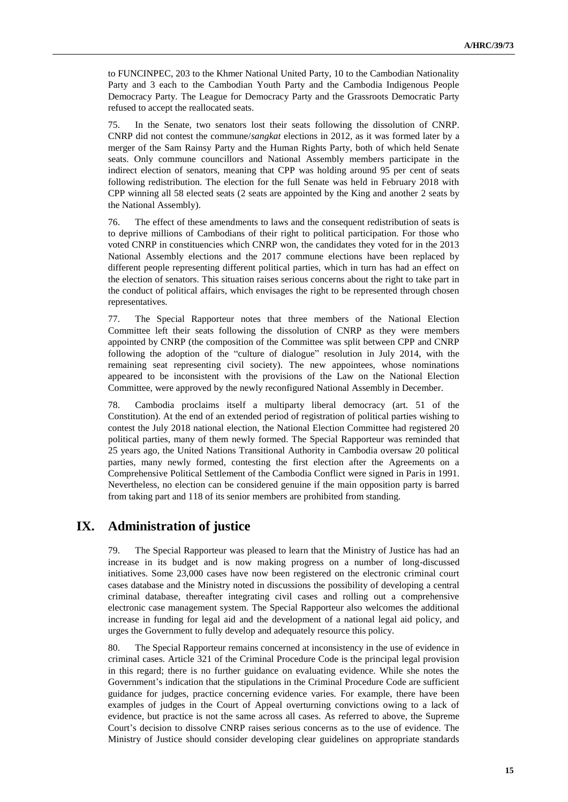to FUNCINPEC, 203 to the Khmer National United Party, 10 to the Cambodian Nationality Party and 3 each to the Cambodian Youth Party and the Cambodia Indigenous People Democracy Party. The League for Democracy Party and the Grassroots Democratic Party refused to accept the reallocated seats.

75. In the Senate, two senators lost their seats following the dissolution of CNRP. CNRP did not contest the commune/*sangkat* elections in 2012, as it was formed later by a merger of the Sam Rainsy Party and the Human Rights Party, both of which held Senate seats. Only commune councillors and National Assembly members participate in the indirect election of senators, meaning that CPP was holding around 95 per cent of seats following redistribution. The election for the full Senate was held in February 2018 with CPP winning all 58 elected seats (2 seats are appointed by the King and another 2 seats by the National Assembly).

76. The effect of these amendments to laws and the consequent redistribution of seats is to deprive millions of Cambodians of their right to political participation. For those who voted CNRP in constituencies which CNRP won, the candidates they voted for in the 2013 National Assembly elections and the 2017 commune elections have been replaced by different people representing different political parties, which in turn has had an effect on the election of senators. This situation raises serious concerns about the right to take part in the conduct of political affairs, which envisages the right to be represented through chosen representatives.

77. The Special Rapporteur notes that three members of the National Election Committee left their seats following the dissolution of CNRP as they were members appointed by CNRP (the composition of the Committee was split between CPP and CNRP following the adoption of the "culture of dialogue" resolution in July 2014, with the remaining seat representing civil society). The new appointees, whose nominations appeared to be inconsistent with the provisions of the Law on the National Election Committee, were approved by the newly reconfigured National Assembly in December.

78. Cambodia proclaims itself a multiparty liberal democracy (art. 51 of the Constitution). At the end of an extended period of registration of political parties wishing to contest the July 2018 national election, the National Election Committee had registered 20 political parties, many of them newly formed. The Special Rapporteur was reminded that 25 years ago, the United Nations Transitional Authority in Cambodia oversaw 20 political parties, many newly formed, contesting the first election after the Agreements on a Comprehensive Political Settlement of the Cambodia Conflict were signed in Paris in 1991. Nevertheless, no election can be considered genuine if the main opposition party is barred from taking part and 118 of its senior members are prohibited from standing.

# **IX. Administration of justice**

79. The Special Rapporteur was pleased to learn that the Ministry of Justice has had an increase in its budget and is now making progress on a number of long-discussed initiatives. Some 23,000 cases have now been registered on the electronic criminal court cases database and the Ministry noted in discussions the possibility of developing a central criminal database, thereafter integrating civil cases and rolling out a comprehensive electronic case management system. The Special Rapporteur also welcomes the additional increase in funding for legal aid and the development of a national legal aid policy, and urges the Government to fully develop and adequately resource this policy.

80. The Special Rapporteur remains concerned at inconsistency in the use of evidence in criminal cases. Article 321 of the Criminal Procedure Code is the principal legal provision in this regard; there is no further guidance on evaluating evidence. While she notes the Government's indication that the stipulations in the Criminal Procedure Code are sufficient guidance for judges, practice concerning evidence varies. For example, there have been examples of judges in the Court of Appeal overturning convictions owing to a lack of evidence, but practice is not the same across all cases. As referred to above, the Supreme Court's decision to dissolve CNRP raises serious concerns as to the use of evidence. The Ministry of Justice should consider developing clear guidelines on appropriate standards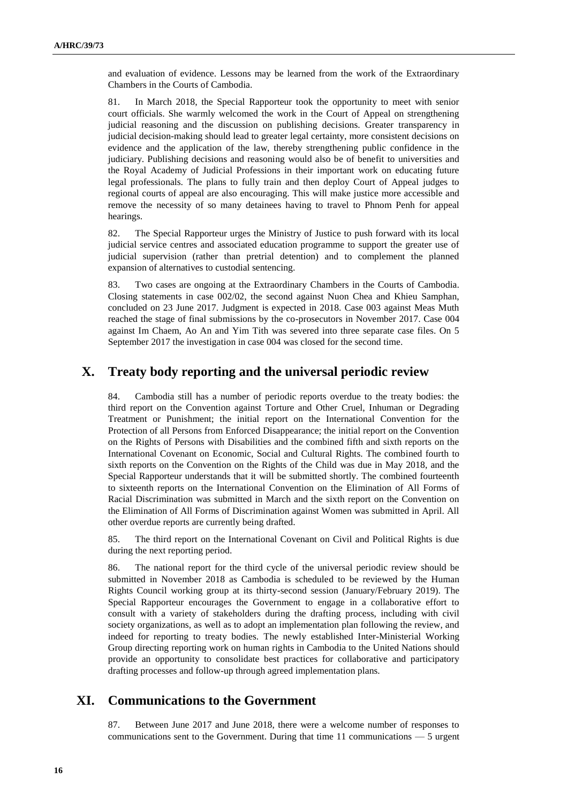and evaluation of evidence. Lessons may be learned from the work of the Extraordinary Chambers in the Courts of Cambodia.

81. In March 2018, the Special Rapporteur took the opportunity to meet with senior court officials. She warmly welcomed the work in the Court of Appeal on strengthening judicial reasoning and the discussion on publishing decisions. Greater transparency in judicial decision-making should lead to greater legal certainty, more consistent decisions on evidence and the application of the law, thereby strengthening public confidence in the judiciary. Publishing decisions and reasoning would also be of benefit to universities and the Royal Academy of Judicial Professions in their important work on educating future legal professionals. The plans to fully train and then deploy Court of Appeal judges to regional courts of appeal are also encouraging. This will make justice more accessible and remove the necessity of so many detainees having to travel to Phnom Penh for appeal hearings.

82. The Special Rapporteur urges the Ministry of Justice to push forward with its local judicial service centres and associated education programme to support the greater use of judicial supervision (rather than pretrial detention) and to complement the planned expansion of alternatives to custodial sentencing.

83. Two cases are ongoing at the Extraordinary Chambers in the Courts of Cambodia. Closing statements in case 002/02, the second against Nuon Chea and Khieu Samphan, concluded on 23 June 2017. Judgment is expected in 2018. Case 003 against Meas Muth reached the stage of final submissions by the co-prosecutors in November 2017. Case 004 against Im Chaem, Ao An and Yim Tith was severed into three separate case files. On 5 September 2017 the investigation in case 004 was closed for the second time.

## **X. Treaty body reporting and the universal periodic review**

84. Cambodia still has a number of periodic reports overdue to the treaty bodies: the third report on the Convention against Torture and Other Cruel, Inhuman or Degrading Treatment or Punishment; the initial report on the International Convention for the Protection of all Persons from Enforced Disappearance; the initial report on the Convention on the Rights of Persons with Disabilities and the combined fifth and sixth reports on the International Covenant on Economic, Social and Cultural Rights. The combined fourth to sixth reports on the Convention on the Rights of the Child was due in May 2018, and the Special Rapporteur understands that it will be submitted shortly. The combined fourteenth to sixteenth reports on the International Convention on the Elimination of All Forms of Racial Discrimination was submitted in March and the sixth report on the Convention on the Elimination of All Forms of Discrimination against Women was submitted in April. All other overdue reports are currently being drafted.

85. The third report on the International Covenant on Civil and Political Rights is due during the next reporting period.

86. The national report for the third cycle of the universal periodic review should be submitted in November 2018 as Cambodia is scheduled to be reviewed by the Human Rights Council working group at its thirty-second session (January/February 2019). The Special Rapporteur encourages the Government to engage in a collaborative effort to consult with a variety of stakeholders during the drafting process, including with civil society organizations, as well as to adopt an implementation plan following the review, and indeed for reporting to treaty bodies. The newly established Inter-Ministerial Working Group directing reporting work on human rights in Cambodia to the United Nations should provide an opportunity to consolidate best practices for collaborative and participatory drafting processes and follow-up through agreed implementation plans.

### **XI. Communications to the Government**

87. Between June 2017 and June 2018, there were a welcome number of responses to communications sent to the Government. During that time 11 communications ⸻ 5 urgent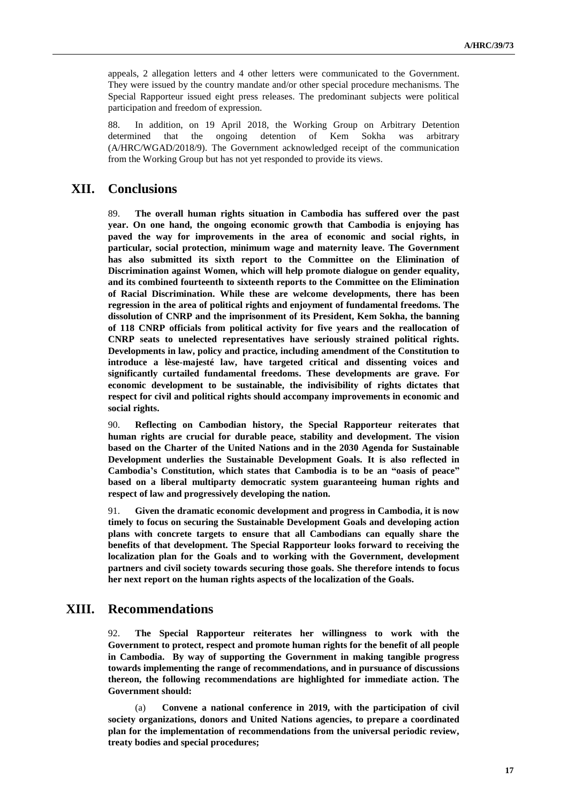appeals, 2 allegation letters and 4 other letters were communicated to the Government. They were issued by the country mandate and/or other special procedure mechanisms. The Special Rapporteur issued eight press releases. The predominant subjects were political participation and freedom of expression.

88. In addition, on 19 April 2018, the Working Group on Arbitrary Detention determined that the ongoing detention of Kem Sokha was arbitrary (A/HRC/WGAD/2018/9). The Government acknowledged receipt of the communication from the Working Group but has not yet responded to provide its views.

### **XII. Conclusions**

89. **The overall human rights situation in Cambodia has suffered over the past year. On one hand, the ongoing economic growth that Cambodia is enjoying has paved the way for improvements in the area of economic and social rights, in particular, social protection, minimum wage and maternity leave. The Government has also submitted its sixth report to the Committee on the Elimination of Discrimination against Women, which will help promote dialogue on gender equality, and its combined fourteenth to sixteenth reports to the Committee on the Elimination of Racial Discrimination. While these are welcome developments, there has been regression in the area of political rights and enjoyment of fundamental freedoms. The dissolution of CNRP and the imprisonment of its President, Kem Sokha, the banning of 118 CNRP officials from political activity for five years and the reallocation of CNRP seats to unelected representatives have seriously strained political rights. Developments in law, policy and practice, including amendment of the Constitution to introduce a lèse-majesté law, have targeted critical and dissenting voices and significantly curtailed fundamental freedoms. These developments are grave. For economic development to be sustainable, the indivisibility of rights dictates that respect for civil and political rights should accompany improvements in economic and social rights.**

90. **Reflecting on Cambodian history, the Special Rapporteur reiterates that human rights are crucial for durable peace, stability and development. The vision based on the Charter of the United Nations and in the 2030 Agenda for Sustainable Development underlies the Sustainable Development Goals. It is also reflected in Cambodia's Constitution, which states that Cambodia is to be an "oasis of peace" based on a liberal multiparty democratic system guaranteeing human rights and respect of law and progressively developing the nation.**

91. **Given the dramatic economic development and progress in Cambodia, it is now timely to focus on securing the Sustainable Development Goals and developing action plans with concrete targets to ensure that all Cambodians can equally share the benefits of that development. The Special Rapporteur looks forward to receiving the localization plan for the Goals and to working with the Government, development partners and civil society towards securing those goals. She therefore intends to focus her next report on the human rights aspects of the localization of the Goals.**

### **XIII. Recommendations**

92. **The Special Rapporteur reiterates her willingness to work with the Government to protect, respect and promote human rights for the benefit of all people in Cambodia. By way of supporting the Government in making tangible progress towards implementing the range of recommendations, and in pursuance of discussions thereon, the following recommendations are highlighted for immediate action. The Government should:**

(a) **Convene a national conference in 2019, with the participation of civil society organizations, donors and United Nations agencies, to prepare a coordinated plan for the implementation of recommendations from the universal periodic review, treaty bodies and special procedures;**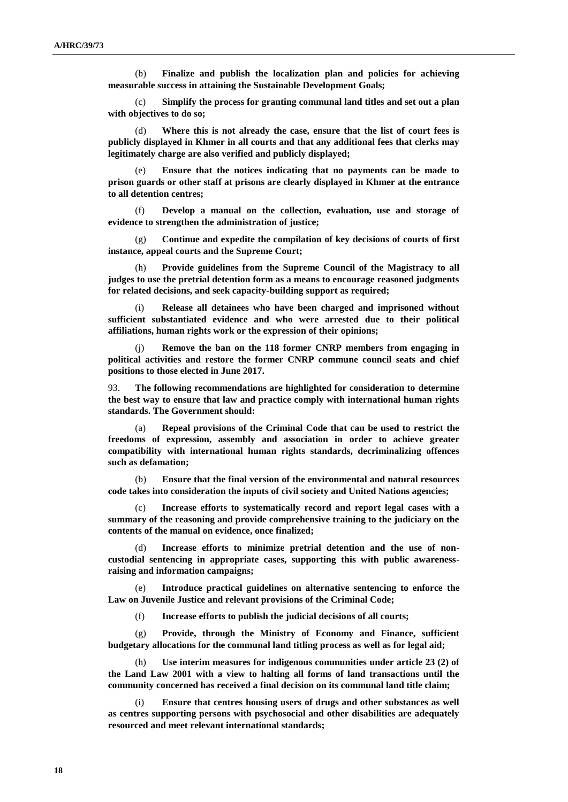(b) **Finalize and publish the localization plan and policies for achieving measurable success in attaining the Sustainable Development Goals;**

(c) **Simplify the process for granting communal land titles and set out a plan with objectives to do so;**

(d) **Where this is not already the case, ensure that the list of court fees is publicly displayed in Khmer in all courts and that any additional fees that clerks may legitimately charge are also verified and publicly displayed;**

(e) **Ensure that the notices indicating that no payments can be made to prison guards or other staff at prisons are clearly displayed in Khmer at the entrance to all detention centres;**

(f) **Develop a manual on the collection, evaluation, use and storage of evidence to strengthen the administration of justice;**

(g) **Continue and expedite the compilation of key decisions of courts of first instance, appeal courts and the Supreme Court;**

(h) **Provide guidelines from the Supreme Council of the Magistracy to all judges to use the pretrial detention form as a means to encourage reasoned judgments for related decisions, and seek capacity-building support as required;**

(i) **Release all detainees who have been charged and imprisoned without sufficient substantiated evidence and who were arrested due to their political affiliations, human rights work or the expression of their opinions;**

Remove the ban on the 118 former CNRP members from engaging in **political activities and restore the former CNRP commune council seats and chief positions to those elected in June 2017.**

93. **The following recommendations are highlighted for consideration to determine the best way to ensure that law and practice comply with international human rights standards. The Government should:**

(a) **Repeal provisions of the Criminal Code that can be used to restrict the freedoms of expression, assembly and association in order to achieve greater compatibility with international human rights standards, decriminalizing offences such as defamation;**

(b) **Ensure that the final version of the environmental and natural resources code takes into consideration the inputs of civil society and United Nations agencies;**

Increase efforts to systematically record and report legal cases with a **summary of the reasoning and provide comprehensive training to the judiciary on the contents of the manual on evidence, once finalized;**

(d) **Increase efforts to minimize pretrial detention and the use of noncustodial sentencing in appropriate cases, supporting this with public awarenessraising and information campaigns;**

(e) **Introduce practical guidelines on alternative sentencing to enforce the Law on Juvenile Justice and relevant provisions of the Criminal Code;** 

(f) **Increase efforts to publish the judicial decisions of all courts;**

(g) **Provide, through the Ministry of Economy and Finance, sufficient budgetary allocations for the communal land titling process as well as for legal aid;**

Use interim measures for indigenous communities under article 23 (2) of **the Land Law 2001 with a view to halting all forms of land transactions until the community concerned has received a final decision on its communal land title claim;** 

Ensure that centres housing users of drugs and other substances as well **as centres supporting persons with psychosocial and other disabilities are adequately resourced and meet relevant international standards;**